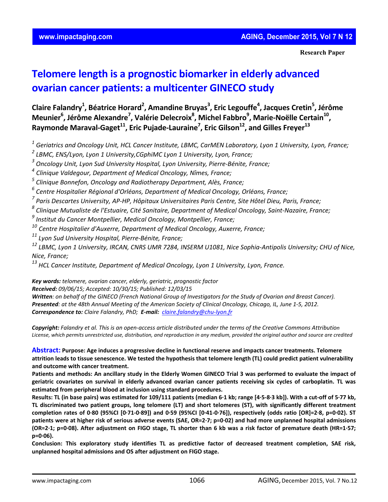**Research Paper**

# **Telomere length is a prognostic biomarker in elderly advanced ovarian cancer patients: a multicenter GINECO study**

**Claire Falandry1 , Béatrice Horard2 , Amandine Bruyas3 , Eric Legouffe4 , Jacques Cretin5 , Jérôme Meunier6 , Jérôme Alexandre7 , Valérie Delecroix8 , Michel Fabbro9 , Marie‐Noëlle Certain10, Raymonde Maraval‐Gaget11, Eric Pujade‐Lauraine7 , Eric Gilson12, and Gilles Freyer13**

*<sup>1</sup> Geriatrics and Oncology Unit, HCL Cancer Institute, LBMC, CarMEN Laboratory, Lyon 1 University, Lyon, France;*

*<sup>2</sup> LBMC, ENS/Lyon, Lyon 1 University,CGphiMC Lyon 1 University, Lyon, France;*

*<sup>3</sup> Oncology Unit, Lyon Sud University Hospital, Lyon University, Pierre‐Bénite, France;*

*<sup>4</sup> Clinique Valdegour, Department of Medical Oncology, Nîmes, France;*

*<sup>5</sup> Clinique Bonnefon, Oncology and Radiotherapy Department, Alès, France;*

*<sup>6</sup> Centre Hospitalier Régional d'Orléans, Department of Medical Oncology, Orléans, France;*

*<sup>7</sup> Paris Descartes University, AP‐HP, Hôpitaux Universitaires Paris Centre, Site Hôtel Dieu, Paris, France;*

*<sup>8</sup> Clinique Mutualiste de l'Estuaire, Cité Sanitaire, Department of Medical Oncology, Saint‐Nazaire, France;*

*<sup>9</sup> Institut du Cancer Montpellier, Medical Oncology, Montpellier, France;*

*<sup>10</sup> Centre Hospitalier d'Auxerre, Department of Medical Oncology, Auxerre, France;*

*<sup>11</sup> Lyon Sud University Hospital, Pierre‐Bénite, France;*

<sup>12</sup> LBMC, Lyon 1 University, IRCAN, CNRS UMR 7284, INSERM U1081, Nice Sophia-Antipolis University; CHU of Nice, *Nice, France;*

*<sup>13</sup> HCL Cancer Institute, Department of Medical Oncology, Lyon 1 University, Lyon, France.*

*Key words: telomere, ovarian cancer, elderly, geriatric, prognostic factor Received: 09/06/15; Accepted: 10/30/15; Published: 12/03/15*

Written: on behalf of the GINECO (French National Group of Investigators for the Study of Ovarian and Breast Cancer). Presented: at the 48th Annual Meeting of the American Society of Clinical Oncology, Chicago, IL, June 1-5, 2012. *Correspondence to: Claire Falandry, PhD; E‐mail: claire.falandry@chu‐lyon.fr*

Copyright: Falandry et al. This is an open-access article distributed under the terms of the Creative Commons Attribution License, which permits unrestricted use, distribution, and reproduction in any medium, provided the original author and source are credited

**Abstract: Purpose: Age induces a progressive decline in functional reserve and impacts cancer treatments. Telomere** attrition leads to tissue senescence. We tested the hypothesis that telomere length (TL) could predict patient vulnerability **and outcome with cancer treatment.** 

Patients and methods: An ancillary study in the Elderly Women GINECO Trial 3 was performed to evaluate the impact of geriatric covariates on survival in elderly advanced ovarian cancer patients receiving six cycles of carboplatin. TL was **estimated from peripheral blood at inclusion using standard procedures.** 

Results: TL (in base pairs) was estimated for 109/111 patients (median 6.1 kb; range [4.5-8.3 kb]). With a cut-off of 5.77 kb, TL discriminated two patient groups, long telomere (LT) and short telomeres (ST), with significantly different treatment completion rates of 0.80 (95%CI [0.71-0.89]) and 0.59 (95%CI [0.41-0.76]), respectively (odds ratio [OR]=2.8, p=0.02). ST patients were at higher risk of serious adverse events (SAE, OR=2.7; p=0.02) and had more unplanned hospital admissions (OR=2.1; p=0.08). After adjustment on FIGO stage, TL shorter than 6 kb was a risk factor of premature death (HR=1.57; **p=0∙06).** 

**Conclusion: This exploratory study identifies TL as predictive factor of decreased treatment completion, SAE risk, unplanned hospital admissions and OS after adjustment on FIGO stage.**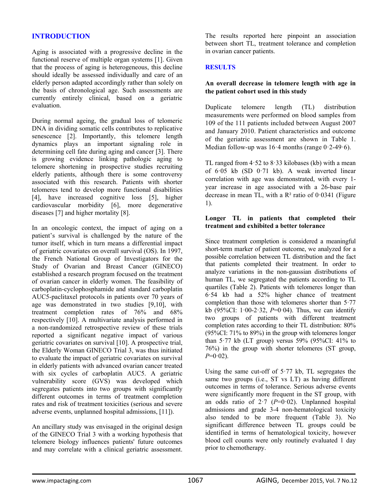## **INTRODUCTION**

Aging is associated with a progressive decline in the functional reserve of multiple organ systems [1]. Given that the process of aging is heterogeneous, this decline should ideally be assessed individually and care of an elderly person adapted accordingly rather than solely on the basis of chronological age. Such assessments are currently entirely clinical, based on a geriatric evaluation.

During normal ageing, the gradual loss of telomeric DNA in dividing somatic cells contributes to replicative senescence [2]. Importantly, this telomere length dynamics plays an important signaling role in determining cell fate during aging and cancer [3]. There is growing evidence linking pathologic aging to telomere shortening in prospective studies recruiting elderly patients, although there is some controversy associated with this research. Patients with shorter telomeres tend to develop more functional disabilities [4], have increased cognitive loss [5], higher cardiovascular morbidity [6], more degenerative diseases [7] and higher mortality [8].

In an oncologic context, the impact of aging on a patient's survival is challenged by the nature of the tumor itself, which in turn means a differential impact of geriatric covariates on overall survival (OS). In 1997, the French National Group of Investigators for the Study of Ovarian and Breast Cancer (GINECO) established a research program focused on the treatment of ovarian cancer in elderly women. The feasibility of carboplatin-cyclophosphamide and standard carboplatin AUC5-paclitaxel protocols in patients over 70 years of age was demonstrated in two studies [9,10], with treatment completion rates of 76% and 68% respectively [10]. A multivariate analysis performed in a non-randomized retrospective review of these trials reported a significant negative impact of various geriatric covariates on survival [10]. A prospective trial, the Elderly Woman GINECO Trial 3, was thus initiated to evaluate the impact of geriatric covariates on survival in elderly patients with advanced ovarian cancer treated with six cycles of carboplatin AUC5. A geriatric vulnerability score (GVS) was developed which segregates patients into two groups with significantly different outcomes in terms of treatment completion rates and risk of treatment toxicities (serious and severe adverse events, unplanned hospital admissions, [11]).

An ancillary study was envisaged in the original design of the GINECO Trial 3 with a working hypothesis that telomere biology influences patients' future outcomes and may correlate with a clinical geriatric assessment.

The results reported here pinpoint an association between short TL, treatment tolerance and completion in ovarian cancer patients.

## **RESULTS**

## **An overall decrease in telomere length with age in the patient cohort used in this study**

Duplicate telomere length (TL) distribution measurements were performed on blood samples from 109 of the 111 patients included between August 2007 and January 2010. Patient characteristics and outcome of the geriatric assessment are shown in Table 1. Median follow-up was  $16.4$  months (range  $0.2-49.6$ ).

TL ranged from  $4.52$  to  $8.33$  kilobases (kb) with a mean of 6·05 kb (SD 0·71 kb). A weak inverted linear correlation with age was demonstrated, with every 1 year increase in age associated with a 26-base pair decrease in mean TL, with a  $\mathbb{R}^2$  ratio of 0.0341 (Figure 1).

## **Longer TL in patients that completed their treatment and exhibited a better tolerance**

Since treatment completion is considered a meaningful short-term marker of patient outcome, we analyzed for a possible correlation between TL distribution and the fact that patients completed their treatment. In order to analyze variations in the non-gaussian distributions of human TL, we segregated the patients according to TL quartiles (Table 2). Patients with telomeres longer than 6·54 kb had a 52% higher chance of treatment completion than those with telomeres shorter than 5·77 kb (95%CI: 1·00-2·32, *P*=0·04). Thus, we can identify two groups of patients with different treatment completion rates according to their TL distribution: 80% (95%CI: 71% to 89%) in the group with telomeres longer than 5·77 kb (LT group) versus 59% (95%CI: 41% to 76%) in the group with shorter telomeres (ST group, *P*=0·02).

Using the same cut-off of  $5.77$  kb, TL segregates the same two groups (i.e., ST vs LT) as having different outcomes in terms of tolerance. Serious adverse events were significantly more frequent in the ST group, with an odds ratio of  $2.7$  ( $P=0.02$ ). Unplanned hospital admissions and grade 3-4 non-hematological toxicity also tended to be more frequent (Table 3). No significant difference between TL groups could be identified in terms of hematological toxicity, however blood cell counts were only routinely evaluated 1 day prior to chemotherapy.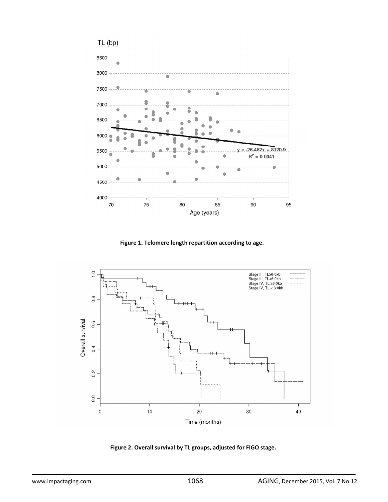

**Figure 1. Telomere length repartition according to age.**



**Figure 2. Overall survival by TL groups, adjusted for FIGO stage.**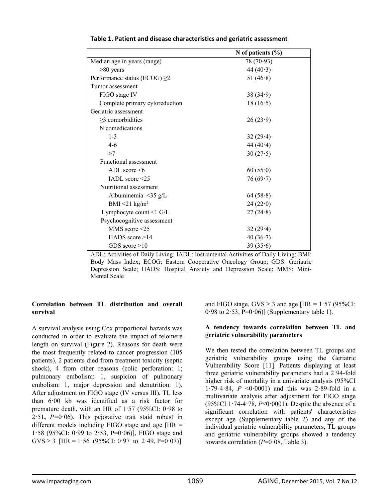|                                              | N of patients $(\% )$ |
|----------------------------------------------|-----------------------|
| Median age in years (range)                  | 78 (70-93)            |
| $\geq 80$ years                              | 44 $(40.3)$           |
| Performance status (ECOG) $\geq$ 2           | 51 $(46.8)$           |
| Tumor assessment                             |                       |
| FIGO stage IV                                | 38(34.9)              |
| Complete primary cytoreduction               | 18(16.5)              |
| Geriatric assessment                         |                       |
| $\geq$ 3 comorbidities                       | 26(23.9)              |
| N comedications                              |                       |
| $1 - 3$                                      | 32(29.4)              |
| $4 - 6$                                      | 44 $(40.4)$           |
| >7                                           | 30(27.5)              |
| Functional assessment                        |                       |
| ADL score $\leq 6$                           | 60(55.0)              |
| IADL score <25                               | 76(69.7)              |
| Nutritional assessment                       |                       |
| Albuminemia $\langle 35 \text{ g/L} \rangle$ | 64(58.8)              |
| BMI $\leq$ 21 kg/m <sup>2</sup>              | 24(22.0)              |
| Lymphocyte count $\leq 1$ G/L                | 27(24.8)              |
| Psychocognitive assessment                   |                       |
| MMS score $\leq$ 25                          | 32(29.4)              |
| $HADS$ score $>14$                           | 40 $(36.7)$           |
| GDS score $>10$                              | 39(35.6)              |

**Table 1. Patient and disease characteristics and geriatric assessment**

ADL: Activities of Daily Living; IADL: Instrumental Activities of Daily Living; BMI: Body Mass Index; ECOG: Eastern Cooperative Oncology Group; GDS: Geriatric Depression Scale; HADS: Hospital Anxiety and Depression Scale; MMS: Mini-Mental Scale

## **Correlation between TL distribution and overall survival**

A survival analysis using Cox proportional hazards was conducted in order to evaluate the impact of telomere length on survival (Figure 2). Reasons for death were the most frequently related to cancer progression (105 patients), 2 patients died from treatment toxicity (septic shock), 4 from other reasons (colic perforation: 1; pulmonary embolism: 1, suspicion of pulmonary embolism: 1, major depression and denutrition: 1). After adjustment on FIGO stage (IV versus III), TL less than 6·00 kb was identified as a risk factor for premature death, with an HR of 1·57 (95%CI: 0·98 to 2·51**,** *P=*0·06). This pejorative trait staid robust in different models including FIGO stage and age  $[HR =$ 1.58 (95%CI:  $0.99$  to 2.53, P=0.06)], FIGO stage and  $GVS \ge 3$  [HR = 1.56 (95%CI: 0.97 to 2.49, P=0.07)]

and FIGO stage,  $GVS \ge 3$  and age  $HIR = 1.57 (95\% CI$ :  $0.98$  to  $2.53$ ,  $P=0.06$ )] (Supplementary table 1).

### **A tendency towards correlation between TL and geriatric vulnerability parameters**

We then tested the correlation between TL groups and geriatric vulnerability groups using the Geriatric Vulnerability Score [11]. Patients displaying at least three geriatric vulnerability parameters had a 2·94-fold higher risk of mortality in a univariate analysis (95%CI 1.79-4.84,  $P \leq 0.0001$  and this was 2.89-fold in a multivariate analysis after adjustment for FIGO stage (95%CI 1·74-4·78, *P*<0·0001). Despite the absence of a significant correlation with patients' characteristics except age (Supplementary table 2) and any of the individual geriatric vulnerability parameters, TL groups and geriatric vulnerability groups showed a tendency towards correlation  $(P=0.08, \text{Table 3}).$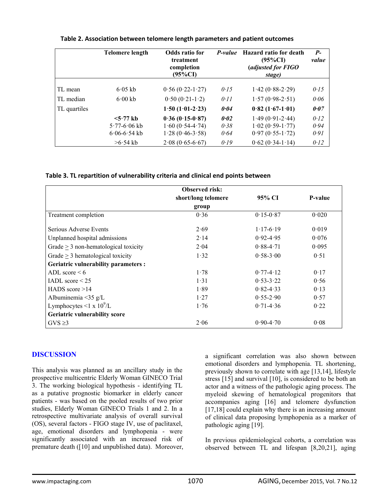|              | Telomere length                                                   | Odds ratio for<br>treatment<br>completion<br>(95%CI)                             | P-value                      | Hazard ratio for death<br>$(95\%CI)$<br>(adjusted for FIGO<br>stage)             | $P-$<br>value                |
|--------------|-------------------------------------------------------------------|----------------------------------------------------------------------------------|------------------------------|----------------------------------------------------------------------------------|------------------------------|
| TL mean      | $6.05$ kb                                                         | $0.56(0.22-1.27)$                                                                | 0.15                         | $1.42 (0.88 - 2.29)$                                                             | 0.15                         |
| TL median    | $6.00 \text{ kb}$                                                 | $0.50(0.21-1.2)$                                                                 | 0.11                         | $1.57(0.98-2.51)$                                                                | 0.06                         |
| TL quartiles |                                                                   | $1.50 (1.01 - 2.23)$                                                             | 0.04                         | $0.82(1.67-1.01)$                                                                | 0.07                         |
|              | $<$ 5.77 kb<br>$5.77 - 6.06$ kb<br>$6.06 - 6.54$ kb<br>$>6.54$ kb | $0.36(0.15-0.87)$<br>$1.60(0.54-4.74)$<br>$1.28(0.46-3.58)$<br>$2.08(0.65-6.67)$ | 0.02<br>0.38<br>0.64<br>0.19 | $1.49(0.91-2.44)$<br>$1.02(0.59-1.77)$<br>$0.97(0.55-1.72)$<br>$0.62(0.34-1.14)$ | 0.12<br>0.94<br>0.91<br>0.12 |

**Table 2. Association between telomere length parameters and patient outcomes**

**Table 3. TL repartition of vulnerability criteria and clinical end points between**

|                                             | <b>Observed risk:</b> |               |         |
|---------------------------------------------|-----------------------|---------------|---------|
|                                             | short/long telomere   | 95% CI        | P-value |
|                                             | group                 |               |         |
| Treatment completion                        | 0.36                  | $0.15 - 0.87$ | 0.020   |
| Serious Adverse Events                      | 2.69                  | $1.17 - 6.19$ | 0.019   |
| Unplanned hospital admissions               | 2.14                  | $0.92 - 4.95$ | 0.076   |
| Grade $\geq$ 3 non-hematological toxicity   | 2.04                  | $0.88 - 4.71$ | 0.095   |
| Grade $> 3$ hematological toxicity          | 1.32                  | $0.58 - 3.00$ | 0.51    |
| <b>Geriatric vulnerability parameters :</b> |                       |               |         |
| ADL score $\leq 6$                          | 1.78                  | $0.77 - 4.12$ | 0.17    |
| IADL score $\leq$ 25                        | 1.31                  | $0.53 - 3.22$ | 0.56    |
| HADS score $>14$                            | 1.89                  | $0.82 - 4.33$ | 0.13    |
| Albuminemia <35 g/L                         | 1.27                  | $0.55 - 2.90$ | 0.57    |
| Lymphocytes $\leq 1 \times 10^9$ /L         | 1.76                  | $0.71 - 4.36$ | 0.22    |
| Geriatric vulnerability score               |                       |               |         |
| $GVS \ge 3$                                 | 2.06                  | $0.90 - 4.70$ | 0.08    |

## **DISCUSSION**

This analysis was planned as an ancillary study in the prospective multicentric Elderly Woman GINECO Trial 3. The working biological hypothesis - identifying TL as a putative prognostic biomarker in elderly cancer patients - was based on the pooled results of two prior studies, Elderly Woman GINECO Trials 1 and 2. In a retrospective multivariate analysis of overall survival (OS), several factors - FIGO stage IV, use of paclitaxel, age, emotional disorders and lymphopenia - were significantly associated with an increased risk of premature death ([10] and unpublished data). Moreover, a significant correlation was also shown between emotional disorders and lymphopenia. TL shortening, previously shown to correlate with age [13,14], lifestyle stress [15] and survival [10], is considered to be both an actor and a witness of the pathologic aging process. The myeloid skewing of hematological progenitors that accompanies aging [16] and telomere dysfunction [17,18] could explain why there is an increasing amount of clinical data proposing lymphopenia as a marker of pathologic aging [19].

In previous epidemiological cohorts, a correlation was observed between TL and lifespan [8,20,21], aging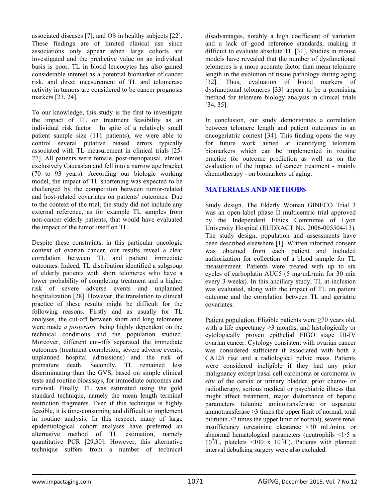associated diseases [7], and OS in healthy subjects [22]. These findings are of limited clinical use since associations only appear when large cohorts are investigated and the predictive value on an individual basis is poor. TL in blood leucocytes has also gained considerable interest as a potential biomarker of cancer risk, and direct measurement of TL and telomerase activity in tumors are considered to be cancer prognosis markers [23, 24].

To our knowledge, this study is the first to investigate the impact of TL on treatment feasibility as an individual risk factor. In spite of a relatively small patient sample size (111 patients), we were able to control several putative biased errors typically associated with TL measurement in clinical trials [25- 27]. All patients were female, post-menopausal, almost exclusively Caucasian and fell into a narrow age bracket (70 to 93 years). According our biologic working model, the impact of TL shortening was expected to be challenged by the competition between tumor-related and host-related covariates on patients' outcomes. Due to the context of the trial, the study did not include any external reference, as for example TL samples from non-cancer elderly patients, that would have evaluated the impact of the tumor itself on TL.

Despite these constraints, in this particular oncologic context of ovarian cancer, our results reveal a clear correlation between TL and patient immediate outcomes. Indeed, TL distribution identified a subgroup of elderly patients with short telomeres who have a lower probability of completing treatment and a higher risk of severe adverse events and unplanned hospitalization [28]. However, the translation to clinical practice of these results might be difficult for the following reasons. Firstly and as usually for TL analyses, the cut-off between short and long telomeres were made *a posteriori,* being highly dependent on the technical conditions and the population studied. Moreover, different cut-offs separated the immediate outcomes (treatment completion, severe adverse events, unplanned hospital admissions) and the risk of premature death. Secondly, TL remained less discriminating than the GVS, based on simple clinical tests and routine bioassays, for immediate outcomes and survival. Finally, TL was estimated using the gold standard technique, namely the mean length terminal restriction fragments. Even if this technique is highly feasible, it is time-consuming and difficult to implement in routine analysis. In this respect, many of large epidemiological cohort analyses have preferred an alternative method of TL estimation, namely quantitative PCR [29,30]. However, this alternative technique suffers from a number of technical

disadvantages, notably a high coefficient of variation and a lack of good reference standards, making it difficult to evaluate absolute TL [31]. Studies in mouse models have revealed that the number of dysfunctional telomeres is a more accurate factor than mean telomere length in the evolution of tissue pathology during aging [32]. Thus, evaluation of blood markers of dysfunctional telomeres [33] appear to be a promising method for telomere biology analysis in clinical trials [34, 35].

In conclusion, our study demonstrates a correlation between telomere length and patient outcomes in an oncogeriatric context [34]. This finding opens the way for future work aimed at identifying telomere biomarkers which can be implemented in routine practice for outcome prediction as well as on the evaluation of the impact of cancer treatment - mainly chemotherapy - on biomarkers of aging.

# **MATERIALS AND METHODS**

Study design. The Elderly Woman GINECO Trial 3 was an open-label phase II multicentric trial approved by the Independent Ethics Committee of Lyon University Hospital (EUDRACT No. 2006-005504-13). The study design, population and assessments have been described elsewhere [1]. Written informed consent was obtained from each patient and included authorization for collection of a blood sample for TL measurement. Patients were treated with up to six cycles of carboplatin AUC5 (5 mg/mL/min for 30 min every 3 weeks). In this ancillary study, TL at inclusion was evaluated, along with the impact of TL on patient outcome and the correlation between TL and geriatric covariates.

Patient population. Eligible patients were  $\geq 70$  years old, with a life expectancy  $\geq$ 3 months, and histologically or cytologically proven epithelial FIGO stage III-IV ovarian cancer. Cytology consistent with ovarian cancer was considered sufficient if associated with both a CA125 rise and a radiological pelvic mass. Patients were considered ineligible if they had any prior malignancy except basal cell carcinoma or carcinoma *in situ* of the cervix or urinary bladder, prior chemo- or radiotherapy, serious medical or psychiatric illness that might affect treatment, major disturbance of hepatic parameters (alanine aminotransferase or aspartate aminotransferase >3 times the upper limit of normal, total bilirubin >2 times the upper limit of normal), severe renal insufficiency (creatinine clearance <30 mL/min), or abnormal hematological parameters (neutrophils <1·5 x  $10^9$ /L, platelets <100 x  $10^9$ /L). Patients with planned interval debulking surgery were also excluded.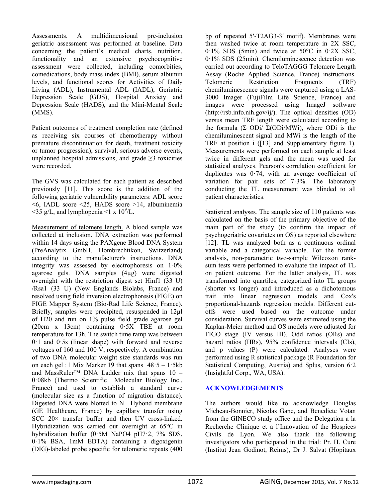Assessments. A multidimensional pre-inclusion geriatric assessment was performed at baseline. Data concerning the patient's medical charts, nutrition, functionality and an extensive psychocognitive assessment were collected, including comorbities, comedications, body mass index (BMI), serum albumin levels, and functional scores for Activities of Daily Living (ADL), Instrumental ADL (IADL), Geriatric Depression Scale (GDS), Hospital Anxiety and Depression Scale (HADS), and the Mini-Mental Scale (MMS).

Patient outcomes of treatment completion rate (defined as receiving six courses of chemotherapy without premature discontinuation for death, treatment toxicity or tumor progression), survival, serious adverse events, unplanned hospital admissions, and grade  $\geq$ 3 toxicities were recorded.

The GVS was calculated for each patient as described previously [11]. This score is the addition of the following geriatric vulnerability parameters: ADL score  $\leq 6$ , IADL score  $\leq 25$ , HADS score  $\geq 14$ , albuminemia  $\leq$ 35 g/L, and lymphopenia  $\leq$ 1 x 10<sup>9</sup>/L.

Measurement of telomere length. A blood sample was collected at inclusion. DNA extraction was performed within 14 days using the PAXgene Blood DNA System (PreAnalytix GmbH, Hombrechtikon, Switzerland) according to the manufacturer's instructions. DNA integrity was assessed by electrophoresis on 1·0% agarose gels. DNA samples (4µg) were digested overnight with the restriction digest set Hinf1 (33 U) /Rsa1 (33 U) (New Englands Biolabs, France) and resolved using field inversion electrophoresis (FIGE) on FIGE Mapper System (Bio-Rad Life Science, France). Briefly, samples were precipited, resuspended in 12µl of H20 and run on 1% pulse field grade agarose gel (20cm x 13cm) containing 0·5X TBE at room temperature for 13h. The switch time ramp was between 0·1 and 0·5s (linear shape) with forward and reverse voltages of 160 and 100 V, respectively. A combination of two DNA molecular weight size standards was run on each gel : l Mix Marker 19 that spans  $48.5 - 1.5kb$ and MassRuler<sup>™</sup> DNA Ladder mix that spans  $10 -$ 0·08kb (Thermo Scientific Molecular Biology Inc., France) and used to establish a standard curve (molecular size as a function of migration distance). Digested DNA were blotted to N+ Hybond membrane (GE Healthcare, France) by capillary transfer using SCC 20× transfer buffer and then UV cross-linked. Hybridization was carried out overnight at 65°C in hybridization buffer (0·5M NaPO4 pH7·2, 7% SDS, 0·1% BSA, 1mM EDTA) containing a digoxigenin (DIG)-labeled probe specific for telomeric repeats (400

bp of repeated 5′-T2AG3-3′ motif). Membranes were then washed twice at room temperature in 2X SSC, 0·1% SDS (5min) and twice at 50°C in 0·2X SSC, 0·1% SDS (25min). Chemiluminescence detection was carried out according to TeloTAGGG Telomere Length Assay (Roche Applied Science, France) instructions. Telomeric Restriction Fragments (TRF) chemiluminescence signals were captured using a LAS-3000 Imager (FujiFilm Life Science, France) and images were processed using ImageJ software (http://rsb.info.nih.gov/ij/). The optical densities (OD) versus mean TRF length were calculated according to the formula  $(\Sigma \text{ ODi}/\Sigma \text{(ODi/MWi)})$ , where ODi is the chemiluminescent signal and MWi is the length of the TRF at position i ([13] and Supplementary figure 1). Measurements were performed on each sample at least twice in different gels and the mean was used for statistical analyses. Pearson's correlation coefficient for duplicates was  $0.74$ , with an average coefficient of variation for pair sets of 7·3%. The laboratory conducting the TL measurement was blinded to all patient characteristics.

Statistical analyses. The sample size of 110 patients was calculated on the basis of the primary objective of the main part of the study (to confirm the impact of psychogeriatric covariates on OS) as reported elsewhere [12]. TL was analyzed both as a continuous ordinal variable and a categorical variable. For the former analysis, non-parametric two-sample Wilcoxon ranksum tests were performed to evaluate the impact of TL on patient outcome. For the latter analysis, TL was transformed into quartiles, categorized into TL groups (shorter vs longer) and introduced as a dichotomous trait into linear regression models and Cox's proportional-hazards regression models. Different cutoffs were used based on the outcome under consideration. Survival curves were estimated using the Kaplan-Meier method and OS models were adjusted for FIGO stage (IV versus III). Odd ratios (ORs) and hazard ratios (HRs), 95% confidence intervals (CIs), and p values (P) were calculated. Analyses were performed using R statistical package (R Foundation for Statistical Computing, Austria) and Splus, version 6·2 (Insightful Corp., WA, USA).

## **ACKNOWLEDGEMENTS**

The authors would like to acknowledge Douglas Micheau-Bonnier, Nicolas Gane, and Benedicte Votan from the GINECO study office and the Delegation a la Recherche Clinique et a l'Innovation of the Hospices Civils de Lyon. We also thank the following investigators who participated in the trial: Pr. H. Cure (Institut Jean Godinot, Reims), Dr J. Salvat (Hopitaux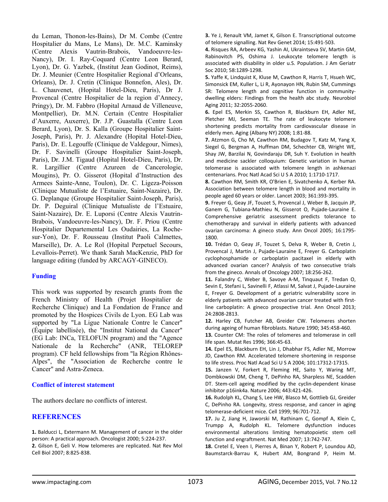du Leman, Thonon-les-Bains), Dr M. Combe (Centre Hospitalier du Mans, Le Mans), Dr. M.C. Kaminsky (Centre Alexis Vautrin-Brabois, Vandoeuvre-les-Nancy), Dr. I. Ray-Coquard (Centre Leon Berard, Lyon), Dr. G. Yazbek, (Institut Jean Godinot, Reims), Dr. J. Meunier (Centre Hospitalier Regional d'Orleans, Orleans), Dr. J. Cretin (Clinique Bonnefon, Ales), Dr. L. Chauvenet, (Hopital Hotel-Dieu, Paris), Dr J. Provencal (Centre Hospitalier de la region d'Annecy, Pringy), Dr. M. Fabbro (Hopital Arnaud de Villeneuve, Montpellier), Dr. M.N. Certain (Centre Hospitalier d'Auxerre, Auxerre), Dr. J.P. Guastalla (Centre Leon Berard, Lyon), Dr. S. Kalla (Groupe Hospitalier Saint-Joseph, Paris), Pr. J. Alexandre (Hopital Hotel-Dieu, Paris), Dr. E. Legouffe (Clinique de Valdegour, Nimes), Dr. F. Savinelli (Groupe Hospitalier Saint-Joseph, Paris), Dr. J.M. Tigaud (Hopital Hotel-Dieu, Paris), Dr. R. Largillier (Centre Azureen de Cancerologie, Mougins), Pr. O. Gisserot (Hopital d'Instruction des Armees Sainte-Anne, Toulon), Dr. C. Ligeza-Poisson (Clinique Mutualiste de l'Estuaire, Saint-Nazaire), Dr. G. Deplanque (Groupe Hospitalier Saint-Joseph, Paris), Dr. P. Deguiral (Clinique Mutualiste de l'Estuaire, Saint-Nazaire), Dr. E. Luporsi (Centre Alexis Vautrin-Brabois, Vandoeuvre-les-Nancy), Dr. F. Priou (Centre Hospitalier Departemental Les Oudairies, La Rochesur-Yon), Dr. F. Rousseau (Institut Paoli Calmettes, Marseille), Dr. A. Le Rol (Hopital Perpetuel Secours, Levallois-Perret). We thank Sarah MacKenzie, PhD for language editing (funded by ARCAGY-GINECO).

#### **Funding**

This work was supported by research grants from the French Ministry of Health (Projet Hospitalier de Recherche Clinique) and La Fondation de France and promoted by the Hospices Civils de Lyon. EG Lab was supported by "La Ligue Nationale Contre le Cancer" (Équipe labellisée), the "Institut National du Cancer" (EG Lab: INCa, TELOFUN program) and the "Agence Nationale de la Recherche" (ANR, TELOREP program). CF held fellowships from "la Région Rhônes-Alpes", the "Association de Recherche contre le Cancer" and Astra-Zeneca.

#### **Conflict of interest statement**

The authors declare no conflicts of interest.

## **REFERENCES**

**1.** Balducci L, Extermann M. Management of cancer in the older person: A practical approach. Oncologist 2000; 5:224‐237. **2.** Gilson E, Geli V. How telomeres are replicated. Nat Rev Mol Cell Biol 2007; 8:825‐838.

**3.** Ye J, Renault VM, Jamet K, Gilson E. Transcriptional outcome of telomere signalling. Nat Rev Genet 2014; 15:491‐503.

**4.** Risques RA, Arbeev KG, Yashin AI, Ukraintseva SV, Martin GM, Rabinovitch PS, Oshima J. Leukocyte telomere length is associated with disability in older u.S. Population. J Am Geriatr Soc 2010; 58:1289‐1298.

**5.** Yaffe K, Lindquist K, Kluse M, Cawthon R, Harris T, Hsueh WC, Simonsick EM, Kuller L, Li R, Ayonayon HN, Rubin SM, Cummings SR: Telomere length and cognitive function in community‐ dwelling elders: Findings from the health abc study. Neurobiol Aging 2011; 32:2055‐2060.

**6.** Epel ES, Merkin SS, Cawthon R, Blackburn EH, Adler NE, Pletcher MJ, Seeman TE. The rate of leukocyte telomere shortening predicts mortality from cardiovascular disease in elderly men. Aging (Albany NY) 2008; 1:81‐88.

**7.** Atzmon G, Cho M, Cawthon RM, Budagov T, Katz M, Yang X, Siegel G, Bergman A, Huffman DM, Schechter CB, Wright WE, Shay JW, Barzilai N, Govindaraju DR, Suh Y. Evolution in health and medicine sackler colloquium: Genetic variation in human telomerase is associated with telomere length in ashkenazi centenarians. Proc Natl Acad Sci U S A 2010; 1:1710‐1717.

**8.** Cawthon RM, Smith KR, O'Brien E, Sivatchenko A, Kerber RA. Association between telomere length in blood and mortality in people aged 60 years or older. Lancet 2003; 361:393‐395.

**9.** Freyer G, Geay JF, Touzet S, Provencal J, Weber B, Jacquin JP, Ganem G, Tubiana‐Mathieu N, Gisserot O, Pujade‐Lauraine E. Comprehensive geriatric assessment predicts tolerance to chemotherapy and survival in elderly patients with advanced ovarian carcinoma: A gineco study. Ann Oncol 2005; 16:1795‐ 1800.

**10.** Trédan O, Geay JF, Touzet S, Delva R, Weber B, Cretin J, Provencal J, Martin J, Pujade‐Lauraine E, Freyer G. Carboplatin cyclophosphamide or carboplatin pacitaxel in elderly with advanced ovarian cancer? Analysis of two consecutive trials from the gineco. Annals of Oncology 2007; 18:256‐262.

**11.** Falandry C, Weber B, Savoye A‐M, Tinquaut F, Tredan O, Sevin E, Stefani L, Savinelli F, Atlassi M, Salvat J, Pujade‐Lauraine E, Freyer G. Development of a geriatric vulnerability score in elderly patients with advanced ovarian cancer treated with first‐ line carboplatin: A gineco prospective trial. Ann Oncol 2013; 24:2808‐2813.

**12.** Harley CB, Futcher AB, Greider CW. Telomeres shorten during ageing of human fibroblasts. Nature 1990; 345:458‐460.

**13.** Counter CM: The roles of telomeres and telomerase in cell life span. Mutat Res 1996; 366:45‐63.

**14.** Epel ES, Blackburn EH, Lin J, Dhabhar FS, Adler NE, Morrow JD, Cawthon RM. Accelerated telomere shortening in response to life stress. Proc Natl Acad Sci U S A 2004; 101:17312‐17315.

**15.** Janzen V, Forkert R, Fleming HE, Saito Y, Waring MT, Dombkowski DM, Cheng T, DePinho RA, Sharpless NE, Scadden DT. Stem-cell ageing modified by the cyclin-dependent kinase inhibitor p16ink4a. Nature 2006; 443:421‐426.

**16.** Rudolph KL, Chang S, Lee HW, Blasco M, Gottlieb GJ, Greider C, DePinho RA. Longevity, stress response, and cancer in aging telomerase‐deficient mice. Cell 1999; 96:701‐712.

**17.** Ju Z, Jiang H, Jaworski M, Rathinam C, Gompf A, Klein C, Trumpp A, Rudolph KL. Telomere dysfunction induces environmental alterations limiting hematopoietic stem cell function and engraftment. Nat Med 2007; 13:742‐747.

**18.** Cretel E, Veen I, Pierres A, Binan Y, Robert P, Loundou AD, Baumstarck‐Barrau K, Hubert AM, Bongrand P, Heim M.